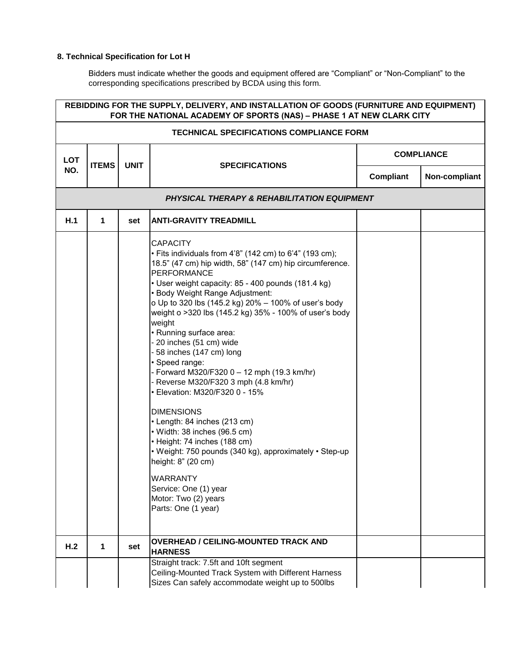## **8. Technical Specification for Lot H**

Bidders must indicate whether the goods and equipment offered are "Compliant" or "Non-Compliant" to the corresponding specifications prescribed by BCDA using this form.

| REBIDDING FOR THE SUPPLY, DELIVERY, AND INSTALLATION OF GOODS (FURNITURE AND EQUIPMENT)<br>FOR THE NATIONAL ACADEMY OF SPORTS (NAS) - PHASE 1 AT NEW CLARK CITY |              |             |                                                                                                                                                                                                                                                                                                                                                                                                                                                                                                                                                                                                                                                                                                                                                                                                                                                                                                   |           |                   |  |
|-----------------------------------------------------------------------------------------------------------------------------------------------------------------|--------------|-------------|---------------------------------------------------------------------------------------------------------------------------------------------------------------------------------------------------------------------------------------------------------------------------------------------------------------------------------------------------------------------------------------------------------------------------------------------------------------------------------------------------------------------------------------------------------------------------------------------------------------------------------------------------------------------------------------------------------------------------------------------------------------------------------------------------------------------------------------------------------------------------------------------------|-----------|-------------------|--|
| TECHNICAL SPECIFICATIONS COMPLIANCE FORM                                                                                                                        |              |             |                                                                                                                                                                                                                                                                                                                                                                                                                                                                                                                                                                                                                                                                                                                                                                                                                                                                                                   |           |                   |  |
| <b>LOT</b>                                                                                                                                                      | <b>ITEMS</b> | <b>UNIT</b> | <b>SPECIFICATIONS</b>                                                                                                                                                                                                                                                                                                                                                                                                                                                                                                                                                                                                                                                                                                                                                                                                                                                                             |           | <b>COMPLIANCE</b> |  |
| NO.                                                                                                                                                             |              |             |                                                                                                                                                                                                                                                                                                                                                                                                                                                                                                                                                                                                                                                                                                                                                                                                                                                                                                   | Compliant | Non-compliant     |  |
|                                                                                                                                                                 |              |             | PHYSICAL THERAPY & REHABILITATION EQUIPMENT                                                                                                                                                                                                                                                                                                                                                                                                                                                                                                                                                                                                                                                                                                                                                                                                                                                       |           |                   |  |
| H.1                                                                                                                                                             | 1            | set         | <b>ANTI-GRAVITY TREADMILL</b>                                                                                                                                                                                                                                                                                                                                                                                                                                                                                                                                                                                                                                                                                                                                                                                                                                                                     |           |                   |  |
|                                                                                                                                                                 |              |             | <b>CAPACITY</b><br>• Fits individuals from 4'8" (142 cm) to 6'4" (193 cm);<br>18.5" (47 cm) hip width, 58" (147 cm) hip circumference.<br>PERFORMANCE<br>• User weight capacity: 85 - 400 pounds (181.4 kg)<br>• Body Weight Range Adjustment:<br>o Up to 320 lbs (145.2 kg) 20% - 100% of user's body<br>weight o >320 lbs (145.2 kg) 35% - 100% of user's body<br>weight<br>• Running surface area:<br>- 20 inches (51 cm) wide<br>58 inches (147 cm) long<br>· Speed range:<br>- Forward M320/F320 0 - 12 mph (19.3 km/hr)<br>- Reverse M320/F320 3 mph (4.8 km/hr)<br>• Elevation: M320/F320 0 - 15%<br><b>DIMENSIONS</b><br>• Length: 84 inches (213 cm)<br>• Width: 38 inches (96.5 cm)<br>• Height: 74 inches (188 cm)<br>• Weight: 750 pounds (340 kg), approximately • Step-up<br>height: 8" (20 cm)<br>WARRANTY<br>Service: One (1) year<br>Motor: Two (2) years<br>Parts: One (1 year) |           |                   |  |
| H.2                                                                                                                                                             | $\mathbf 1$  | set         | <b>OVERHEAD / CEILING-MOUNTED TRACK AND</b><br><b>HARNESS</b>                                                                                                                                                                                                                                                                                                                                                                                                                                                                                                                                                                                                                                                                                                                                                                                                                                     |           |                   |  |
|                                                                                                                                                                 |              |             | Straight track: 7.5ft and 10ft segment<br>Ceiling-Mounted Track System with Different Harness<br>Sizes Can safely accommodate weight up to 500lbs                                                                                                                                                                                                                                                                                                                                                                                                                                                                                                                                                                                                                                                                                                                                                 |           |                   |  |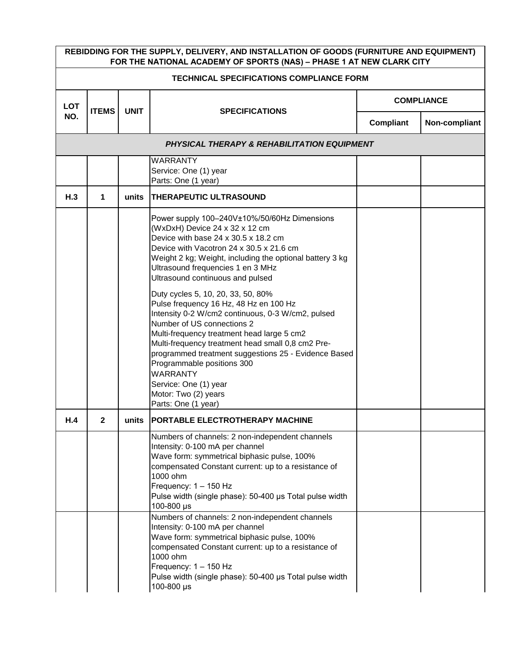| REBIDDING FOR THE SUPPLY, DELIVERY, AND INSTALLATION OF GOODS (FURNITURE AND EQUIPMENT)<br>FOR THE NATIONAL ACADEMY OF SPORTS (NAS) - PHASE 1 AT NEW CLARK CITY |              |             |                                                                                                                                                                                                                                                                                                                                                                                                                                                                                                                                                                                                                                                                                                                                                                |                   |               |  |  |
|-----------------------------------------------------------------------------------------------------------------------------------------------------------------|--------------|-------------|----------------------------------------------------------------------------------------------------------------------------------------------------------------------------------------------------------------------------------------------------------------------------------------------------------------------------------------------------------------------------------------------------------------------------------------------------------------------------------------------------------------------------------------------------------------------------------------------------------------------------------------------------------------------------------------------------------------------------------------------------------------|-------------------|---------------|--|--|
| <b>TECHNICAL SPECIFICATIONS COMPLIANCE FORM</b>                                                                                                                 |              |             |                                                                                                                                                                                                                                                                                                                                                                                                                                                                                                                                                                                                                                                                                                                                                                |                   |               |  |  |
| <b>LOT</b>                                                                                                                                                      | <b>ITEMS</b> | <b>UNIT</b> | <b>SPECIFICATIONS</b>                                                                                                                                                                                                                                                                                                                                                                                                                                                                                                                                                                                                                                                                                                                                          | <b>COMPLIANCE</b> |               |  |  |
| NO.                                                                                                                                                             |              |             |                                                                                                                                                                                                                                                                                                                                                                                                                                                                                                                                                                                                                                                                                                                                                                | <b>Compliant</b>  | Non-compliant |  |  |
|                                                                                                                                                                 |              |             | <b>PHYSICAL THERAPY &amp; REHABILITATION EQUIPMENT</b>                                                                                                                                                                                                                                                                                                                                                                                                                                                                                                                                                                                                                                                                                                         |                   |               |  |  |
|                                                                                                                                                                 |              |             | <b>WARRANTY</b><br>Service: One (1) year<br>Parts: One (1 year)                                                                                                                                                                                                                                                                                                                                                                                                                                                                                                                                                                                                                                                                                                |                   |               |  |  |
| H.3                                                                                                                                                             | 1            | units       | THERAPEUTIC ULTRASOUND                                                                                                                                                                                                                                                                                                                                                                                                                                                                                                                                                                                                                                                                                                                                         |                   |               |  |  |
|                                                                                                                                                                 |              |             | Power supply 100-240V±10%/50/60Hz Dimensions<br>(WxDxH) Device 24 x 32 x 12 cm<br>Device with base 24 x 30.5 x 18.2 cm<br>Device with Vacotron 24 x 30.5 x 21.6 cm<br>Weight 2 kg; Weight, including the optional battery 3 kg<br>Ultrasound frequencies 1 en 3 MHz<br>Ultrasound continuous and pulsed<br>Duty cycles 5, 10, 20, 33, 50, 80%<br>Pulse frequency 16 Hz, 48 Hz en 100 Hz<br>Intensity 0-2 W/cm2 continuous, 0-3 W/cm2, pulsed<br>Number of US connections 2<br>Multi-frequency treatment head large 5 cm2<br>Multi-frequency treatment head small 0,8 cm2 Pre-<br>programmed treatment suggestions 25 - Evidence Based<br>Programmable positions 300<br><b>WARRANTY</b><br>Service: One (1) year<br>Motor: Two (2) years<br>Parts: One (1 year) |                   |               |  |  |
| H.4                                                                                                                                                             | 2            | units       | <b>IPORTABLE ELECTROTHERAPY MACHINE</b>                                                                                                                                                                                                                                                                                                                                                                                                                                                                                                                                                                                                                                                                                                                        |                   |               |  |  |
|                                                                                                                                                                 |              |             | Numbers of channels: 2 non-independent channels<br>Intensity: 0-100 mA per channel<br>Wave form: symmetrical biphasic pulse, 100%<br>compensated Constant current: up to a resistance of<br>1000 ohm<br>Frequency: $1 - 150$ Hz<br>Pulse width (single phase): 50-400 µs Total pulse width<br>100-800 µs<br>Numbers of channels: 2 non-independent channels<br>Intensity: 0-100 mA per channel                                                                                                                                                                                                                                                                                                                                                                 |                   |               |  |  |
|                                                                                                                                                                 |              |             | Wave form: symmetrical biphasic pulse, 100%<br>compensated Constant current: up to a resistance of<br>1000 ohm<br>Frequency: 1 - 150 Hz<br>Pulse width (single phase): 50-400 µs Total pulse width<br>100-800 µs                                                                                                                                                                                                                                                                                                                                                                                                                                                                                                                                               |                   |               |  |  |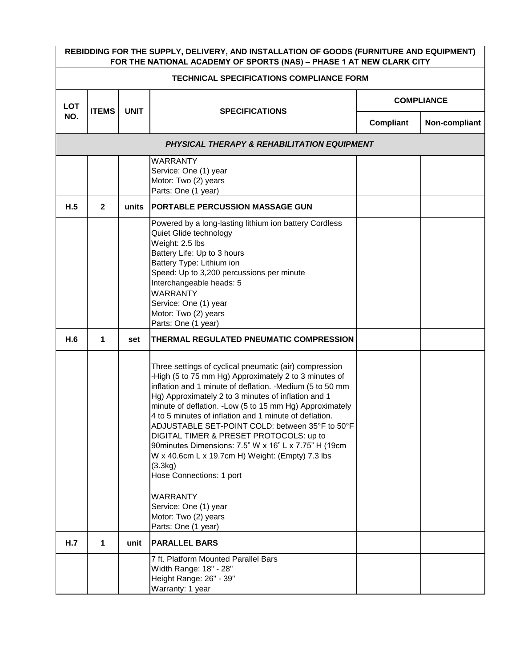| REBIDDING FOR THE SUPPLY, DELIVERY, AND INSTALLATION OF GOODS (FURNITURE AND EQUIPMENT)<br>FOR THE NATIONAL ACADEMY OF SPORTS (NAS) - PHASE 1 AT NEW CLARK CITY |                |             |                                                                                                                                                                                                                                                                                                                                                                                                                                                                                                                                                                                                                                                                                                        |                   |               |  |
|-----------------------------------------------------------------------------------------------------------------------------------------------------------------|----------------|-------------|--------------------------------------------------------------------------------------------------------------------------------------------------------------------------------------------------------------------------------------------------------------------------------------------------------------------------------------------------------------------------------------------------------------------------------------------------------------------------------------------------------------------------------------------------------------------------------------------------------------------------------------------------------------------------------------------------------|-------------------|---------------|--|
| <b>TECHNICAL SPECIFICATIONS COMPLIANCE FORM</b>                                                                                                                 |                |             |                                                                                                                                                                                                                                                                                                                                                                                                                                                                                                                                                                                                                                                                                                        |                   |               |  |
| <b>LOT</b>                                                                                                                                                      | <b>ITEMS</b>   | <b>UNIT</b> | <b>SPECIFICATIONS</b>                                                                                                                                                                                                                                                                                                                                                                                                                                                                                                                                                                                                                                                                                  | <b>COMPLIANCE</b> |               |  |
| NO.                                                                                                                                                             |                |             |                                                                                                                                                                                                                                                                                                                                                                                                                                                                                                                                                                                                                                                                                                        | <b>Compliant</b>  | Non-compliant |  |
|                                                                                                                                                                 |                |             | <b>PHYSICAL THERAPY &amp; REHABILITATION EQUIPMENT</b>                                                                                                                                                                                                                                                                                                                                                                                                                                                                                                                                                                                                                                                 |                   |               |  |
|                                                                                                                                                                 |                |             | <b>WARRANTY</b><br>Service: One (1) year<br>Motor: Two (2) years<br>Parts: One (1 year)                                                                                                                                                                                                                                                                                                                                                                                                                                                                                                                                                                                                                |                   |               |  |
| H.5                                                                                                                                                             | $\overline{2}$ | units       | <b>PORTABLE PERCUSSION MASSAGE GUN</b>                                                                                                                                                                                                                                                                                                                                                                                                                                                                                                                                                                                                                                                                 |                   |               |  |
|                                                                                                                                                                 |                |             | Powered by a long-lasting lithium ion battery Cordless<br>Quiet Glide technology<br>Weight: 2.5 lbs<br>Battery Life: Up to 3 hours<br>Battery Type: Lithium ion<br>Speed: Up to 3,200 percussions per minute<br>Interchangeable heads: 5<br><b>WARRANTY</b><br>Service: One (1) year<br>Motor: Two (2) years<br>Parts: One (1 year)                                                                                                                                                                                                                                                                                                                                                                    |                   |               |  |
| H.6                                                                                                                                                             | 1              | set         | THERMAL REGULATED PNEUMATIC COMPRESSION                                                                                                                                                                                                                                                                                                                                                                                                                                                                                                                                                                                                                                                                |                   |               |  |
|                                                                                                                                                                 |                |             | Three settings of cyclical pneumatic (air) compression<br>-High (5 to 75 mm Hg) Approximately 2 to 3 minutes of<br>inflation and 1 minute of deflation. - Medium (5 to 50 mm<br>Hg) Approximately 2 to 3 minutes of inflation and 1<br>minute of deflation. - Low (5 to 15 mm Hg) Approximately<br>4 to 5 minutes of inflation and 1 minute of deflation.<br>ADJUSTABLE SET-POINT COLD: between 35°F to 50°F<br>DIGITAL TIMER & PRESET PROTOCOLS: up to<br>90 minutes Dimensions: 7.5" W x 16" L x 7.75" H (19cm<br>W x 40.6cm L x 19.7cm H) Weight: (Empty) 7.3 lbs<br>(3.3kg)<br>Hose Connections: 1 port<br><b>WARRANTY</b><br>Service: One (1) year<br>Motor: Two (2) years<br>Parts: One (1 year) |                   |               |  |
| H.7                                                                                                                                                             | 1              | unit        | <b>PARALLEL BARS</b>                                                                                                                                                                                                                                                                                                                                                                                                                                                                                                                                                                                                                                                                                   |                   |               |  |
|                                                                                                                                                                 |                |             | 7 ft. Platform Mounted Parallel Bars<br>Width Range: 18" - 28"<br>Height Range: 26" - 39"<br>Warranty: 1 year                                                                                                                                                                                                                                                                                                                                                                                                                                                                                                                                                                                          |                   |               |  |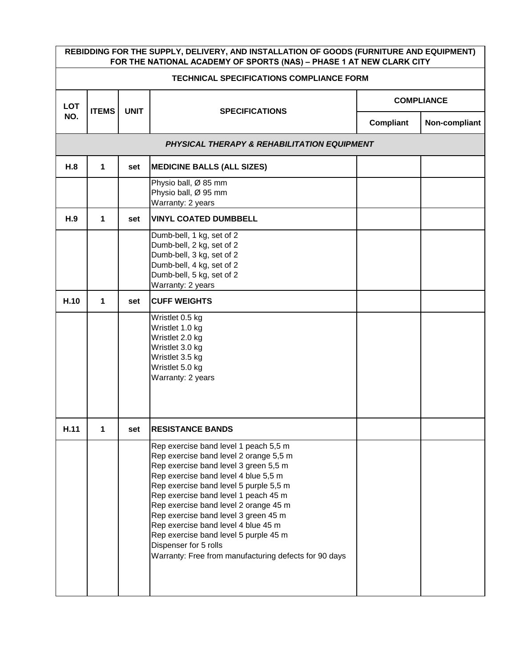| REBIDDING FOR THE SUPPLY, DELIVERY, AND INSTALLATION OF GOODS (FURNITURE AND EQUIPMENT)<br>FOR THE NATIONAL ACADEMY OF SPORTS (NAS) - PHASE 1 AT NEW CLARK CITY |              |             |                                                                                                                                                                                                                                                                                                                                                                                                                                                                                                       |                   |               |  |
|-----------------------------------------------------------------------------------------------------------------------------------------------------------------|--------------|-------------|-------------------------------------------------------------------------------------------------------------------------------------------------------------------------------------------------------------------------------------------------------------------------------------------------------------------------------------------------------------------------------------------------------------------------------------------------------------------------------------------------------|-------------------|---------------|--|
| <b>TECHNICAL SPECIFICATIONS COMPLIANCE FORM</b>                                                                                                                 |              |             |                                                                                                                                                                                                                                                                                                                                                                                                                                                                                                       |                   |               |  |
| <b>LOT</b>                                                                                                                                                      | <b>ITEMS</b> | <b>UNIT</b> | <b>SPECIFICATIONS</b>                                                                                                                                                                                                                                                                                                                                                                                                                                                                                 | <b>COMPLIANCE</b> |               |  |
| NO.                                                                                                                                                             |              |             |                                                                                                                                                                                                                                                                                                                                                                                                                                                                                                       | Compliant         | Non-compliant |  |
|                                                                                                                                                                 |              |             | <b>PHYSICAL THERAPY &amp; REHABILITATION EQUIPMENT</b>                                                                                                                                                                                                                                                                                                                                                                                                                                                |                   |               |  |
| H.8                                                                                                                                                             | 1            | set         | <b>MEDICINE BALLS (ALL SIZES)</b>                                                                                                                                                                                                                                                                                                                                                                                                                                                                     |                   |               |  |
|                                                                                                                                                                 |              |             | Physio ball, Ø 85 mm<br>Physio ball, Ø 95 mm<br>Warranty: 2 years                                                                                                                                                                                                                                                                                                                                                                                                                                     |                   |               |  |
| H.9                                                                                                                                                             | 1            | set         | <b>VINYL COATED DUMBBELL</b>                                                                                                                                                                                                                                                                                                                                                                                                                                                                          |                   |               |  |
|                                                                                                                                                                 |              |             | Dumb-bell, 1 kg, set of 2<br>Dumb-bell, 2 kg, set of 2<br>Dumb-bell, 3 kg, set of 2<br>Dumb-bell, 4 kg, set of 2<br>Dumb-bell, 5 kg, set of 2<br>Warranty: 2 years                                                                                                                                                                                                                                                                                                                                    |                   |               |  |
| H.10                                                                                                                                                            | 1            | set         | <b>CUFF WEIGHTS</b>                                                                                                                                                                                                                                                                                                                                                                                                                                                                                   |                   |               |  |
|                                                                                                                                                                 |              |             | Wristlet 0.5 kg<br>Wristlet 1.0 kg<br>Wristlet 2.0 kg<br>Wristlet 3.0 kg<br>Wristlet 3.5 kg<br>Wristlet 5.0 kg<br>Warranty: 2 years                                                                                                                                                                                                                                                                                                                                                                   |                   |               |  |
| H.11                                                                                                                                                            | 1            | set         | <b>RESISTANCE BANDS</b>                                                                                                                                                                                                                                                                                                                                                                                                                                                                               |                   |               |  |
|                                                                                                                                                                 |              |             | Rep exercise band level 1 peach 5,5 m<br>Rep exercise band level 2 orange 5,5 m<br>Rep exercise band level 3 green 5,5 m<br>Rep exercise band level 4 blue 5,5 m<br>Rep exercise band level 5 purple 5,5 m<br>Rep exercise band level 1 peach 45 m<br>Rep exercise band level 2 orange 45 m<br>Rep exercise band level 3 green 45 m<br>Rep exercise band level 4 blue 45 m<br>Rep exercise band level 5 purple 45 m<br>Dispenser for 5 rolls<br>Warranty: Free from manufacturing defects for 90 days |                   |               |  |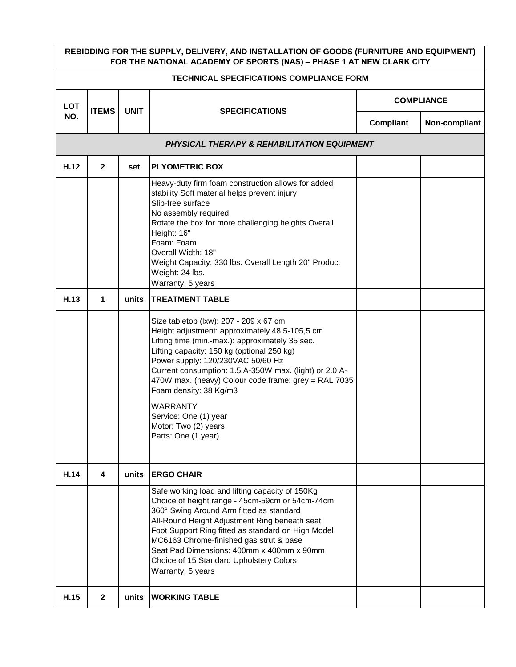| REBIDDING FOR THE SUPPLY, DELIVERY, AND INSTALLATION OF GOODS (FURNITURE AND EQUIPMENT)<br>FOR THE NATIONAL ACADEMY OF SPORTS (NAS) - PHASE 1 AT NEW CLARK CITY |              |             |                                                                                                                                                                                                                                                                                                                                                                                                                                                                       |                   |               |  |
|-----------------------------------------------------------------------------------------------------------------------------------------------------------------|--------------|-------------|-----------------------------------------------------------------------------------------------------------------------------------------------------------------------------------------------------------------------------------------------------------------------------------------------------------------------------------------------------------------------------------------------------------------------------------------------------------------------|-------------------|---------------|--|
| <b>TECHNICAL SPECIFICATIONS COMPLIANCE FORM</b>                                                                                                                 |              |             |                                                                                                                                                                                                                                                                                                                                                                                                                                                                       |                   |               |  |
| <b>LOT</b><br>NO.                                                                                                                                               |              |             |                                                                                                                                                                                                                                                                                                                                                                                                                                                                       | <b>COMPLIANCE</b> |               |  |
|                                                                                                                                                                 | <b>ITEMS</b> | <b>UNIT</b> | <b>SPECIFICATIONS</b>                                                                                                                                                                                                                                                                                                                                                                                                                                                 | Compliant         | Non-compliant |  |
|                                                                                                                                                                 |              |             | <b>PHYSICAL THERAPY &amp; REHABILITATION EQUIPMENT</b>                                                                                                                                                                                                                                                                                                                                                                                                                |                   |               |  |
| H.12                                                                                                                                                            | $\mathbf{2}$ | set         | <b>PLYOMETRIC BOX</b>                                                                                                                                                                                                                                                                                                                                                                                                                                                 |                   |               |  |
|                                                                                                                                                                 |              |             | Heavy-duty firm foam construction allows for added<br>stability Soft material helps prevent injury<br>Slip-free surface<br>No assembly required<br>Rotate the box for more challenging heights Overall<br>Height: 16"<br>Foam: Foam<br>Overall Width: 18"<br>Weight Capacity: 330 lbs. Overall Length 20" Product<br>Weight: 24 lbs.<br>Warranty: 5 years                                                                                                             |                   |               |  |
| H.13                                                                                                                                                            | 1            | units       | <b>TREATMENT TABLE</b>                                                                                                                                                                                                                                                                                                                                                                                                                                                |                   |               |  |
|                                                                                                                                                                 |              |             | Size tabletop (lxw): 207 - 209 x 67 cm<br>Height adjustment: approximately 48,5-105,5 cm<br>Lifting time (min.-max.): approximately 35 sec.<br>Lifting capacity: 150 kg (optional 250 kg)<br>Power supply: 120/230VAC 50/60 Hz<br>Current consumption: 1.5 A-350W max. (light) or 2.0 A-<br>470W max. (heavy) Colour code frame: grey = RAL 7035<br>Foam density: 38 Kg/m3<br><b>WARRANTY</b><br>Service: One (1) year<br>Motor: Two (2) years<br>Parts: One (1 year) |                   |               |  |
| H.14                                                                                                                                                            | 4            | units       | <b>ERGO CHAIR</b>                                                                                                                                                                                                                                                                                                                                                                                                                                                     |                   |               |  |
|                                                                                                                                                                 |              |             | Safe working load and lifting capacity of 150Kg<br>Choice of height range - 45cm-59cm or 54cm-74cm<br>360° Swing Around Arm fitted as standard<br>All-Round Height Adjustment Ring beneath seat<br>Foot Support Ring fitted as standard on High Model<br>MC6163 Chrome-finished gas strut & base<br>Seat Pad Dimensions: 400mm x 400mm x 90mm<br>Choice of 15 Standard Upholstery Colors<br>Warranty: 5 years                                                         |                   |               |  |
| H.15                                                                                                                                                            | $\mathbf{2}$ | units       | <b>WORKING TABLE</b>                                                                                                                                                                                                                                                                                                                                                                                                                                                  |                   |               |  |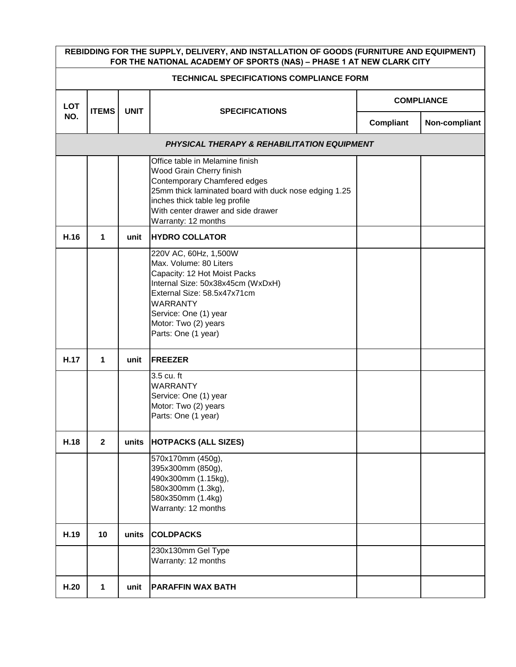| REBIDDING FOR THE SUPPLY, DELIVERY, AND INSTALLATION OF GOODS (FURNITURE AND EQUIPMENT)<br>FOR THE NATIONAL ACADEMY OF SPORTS (NAS) - PHASE 1 AT NEW CLARK CITY |                                                        |             |                                                                                                                                                                                                                                                     |                   |               |  |  |  |
|-----------------------------------------------------------------------------------------------------------------------------------------------------------------|--------------------------------------------------------|-------------|-----------------------------------------------------------------------------------------------------------------------------------------------------------------------------------------------------------------------------------------------------|-------------------|---------------|--|--|--|
| <b>TECHNICAL SPECIFICATIONS COMPLIANCE FORM</b>                                                                                                                 |                                                        |             |                                                                                                                                                                                                                                                     |                   |               |  |  |  |
| <b>LOT</b>                                                                                                                                                      | <b>ITEMS</b>                                           | <b>UNIT</b> | <b>SPECIFICATIONS</b>                                                                                                                                                                                                                               | <b>COMPLIANCE</b> |               |  |  |  |
| NO.                                                                                                                                                             |                                                        |             |                                                                                                                                                                                                                                                     | Compliant         | Non-compliant |  |  |  |
|                                                                                                                                                                 | <b>PHYSICAL THERAPY &amp; REHABILITATION EQUIPMENT</b> |             |                                                                                                                                                                                                                                                     |                   |               |  |  |  |
|                                                                                                                                                                 |                                                        |             | Office table in Melamine finish<br>Wood Grain Cherry finish<br>Contemporary Chamfered edges<br>25mm thick laminated board with duck nose edging 1.25<br>inches thick table leg profile<br>With center drawer and side drawer<br>Warranty: 12 months |                   |               |  |  |  |
| H.16                                                                                                                                                            | 1                                                      | unit        | <b>HYDRO COLLATOR</b>                                                                                                                                                                                                                               |                   |               |  |  |  |
|                                                                                                                                                                 |                                                        |             | 220V AC, 60Hz, 1,500W<br>Max. Volume: 80 Liters<br>Capacity: 12 Hot Moist Packs<br>Internal Size: 50x38x45cm (WxDxH)<br>External Size: 58.5x47x71cm<br><b>WARRANTY</b><br>Service: One (1) year<br>Motor: Two (2) years<br>Parts: One (1 year)      |                   |               |  |  |  |
| H.17                                                                                                                                                            | 1                                                      | unit        | <b>FREEZER</b>                                                                                                                                                                                                                                      |                   |               |  |  |  |
|                                                                                                                                                                 |                                                        |             | 3.5 cu. ft<br><b>WARRANTY</b><br>Service: One (1) year<br>Motor: Two (2) years<br>Parts: One (1 year)                                                                                                                                               |                   |               |  |  |  |
| H.18                                                                                                                                                            | $\mathbf{2}$                                           | units       | <b>HOTPACKS (ALL SIZES)</b>                                                                                                                                                                                                                         |                   |               |  |  |  |
|                                                                                                                                                                 |                                                        |             | 570x170mm (450g),<br>395x300mm (850g),<br>490x300mm (1.15kg),<br>580x300mm (1.3kg),<br>580x350mm (1.4kg)<br>Warranty: 12 months                                                                                                                     |                   |               |  |  |  |
| H.19                                                                                                                                                            | 10                                                     | units       | <b>COLDPACKS</b>                                                                                                                                                                                                                                    |                   |               |  |  |  |
|                                                                                                                                                                 |                                                        |             | 230x130mm Gel Type<br>Warranty: 12 months                                                                                                                                                                                                           |                   |               |  |  |  |
| H.20                                                                                                                                                            | 1                                                      | unit        | <b>PARAFFIN WAX BATH</b>                                                                                                                                                                                                                            |                   |               |  |  |  |